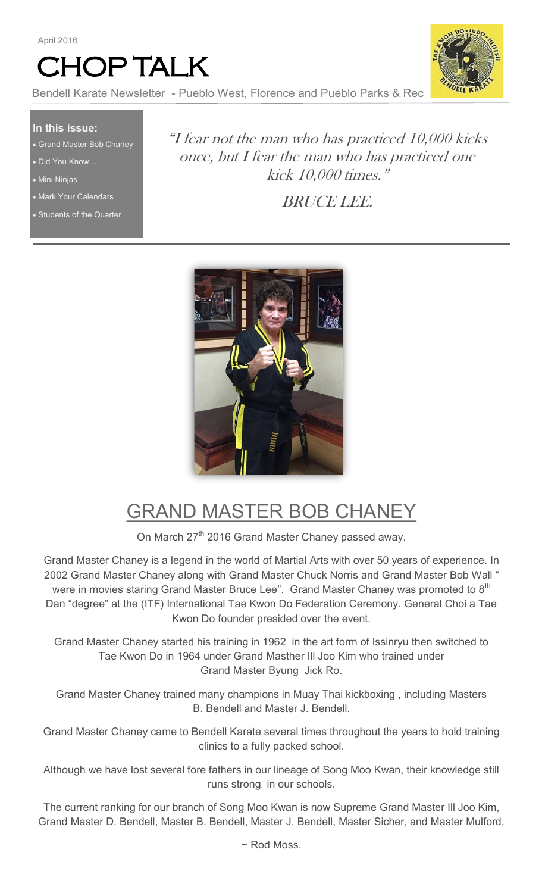



Bendell Karate Newsletter - Pueblo West, Florence and Pueblo Parks & Rec

#### **In this issue:**

- Grand Master Bob Chaney
- Did You Know….
- Mini Ninjas
- Mark Your Calendars
- Students of the Quarter

"I fear not the man who has practiced 10,000 kicks once, but I fear the man who has practiced one kick 10,000 times."

BRUCE LEE.



## GRAND MASTER BOB CHANEY

On March 27<sup>th</sup> 2016 Grand Master Chaney passed away.

Grand Master Chaney is a legend in the world of Martial Arts with over 50 years of experience. In 2002 Grand Master Chaney along with Grand Master Chuck Norris and Grand Master Bob Wall " were in movies staring Grand Master Bruce Lee".  $\,$  Grand Master Chaney was promoted to  $8^{\rm th}$ Dan "degree" at the (ITF) International Tae Kwon Do Federation Ceremony. General Choi a Tae Kwon Do founder presided over the event.

Grand Master Chaney started his training in 1962 in the art form of Issinryu then switched to Tae Kwon Do in 1964 under Grand Masther Ill Joo Kim who trained under Grand Master Byung Jick Ro.

Grand Master Chaney trained many champions in Muay Thai kickboxing , including Masters B. Bendell and Master J. Bendell.

Grand Master Chaney came to Bendell Karate several times throughout the years to hold training clinics to a fully packed school.

Although we have lost several fore fathers in our lineage of Song Moo Kwan, their knowledge still runs strong in our schools.

The current ranking for our branch of Song Moo Kwan is now Supreme Grand Master Ill Joo Kim, Grand Master D. Bendell, Master B. Bendell, Master J. Bendell, Master Sicher, and Master Mulford.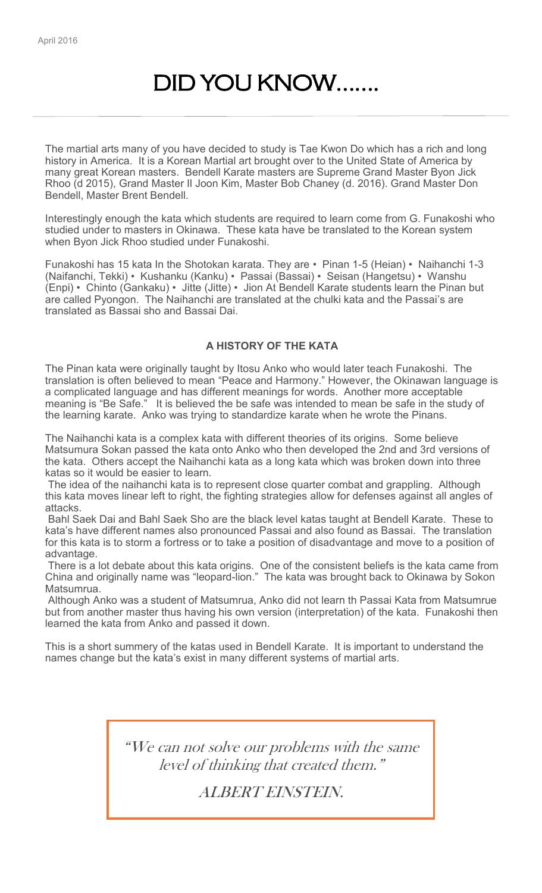## DID YOU KNOW…….

The martial arts many of you have decided to study is Tae Kwon Do which has a rich and long history in America. It is a Korean Martial art brought over to the United State of America by many great Korean masters. Bendell Karate masters are Supreme Grand Master Byon Jick Rhoo (d 2015), Grand Master Il Joon Kim, Master Bob Chaney (d. 2016). Grand Master Don Bendell, Master Brent Bendell.

Interestingly enough the kata which students are required to learn come from G. Funakoshi who studied under to masters in Okinawa. These kata have be translated to the Korean system when Byon Jick Rhoo studied under Funakoshi.

Funakoshi has 15 kata In the Shotokan karata. They are • Pinan 1-5 (Heian) • Naihanchi 1-3 (Naifanchi, Tekki) • Kushanku (Kanku) • Passai (Bassai) • Seisan (Hangetsu) • Wanshu (Enpi) • Chinto (Gankaku) • Jitte (Jitte) • Jion At Bendell Karate students learn the Pinan but are called Pyongon. The Naihanchi are translated at the chulki kata and the Passai's are translated as Bassai sho and Bassai Dai.

#### **A HISTORY OF THE KATA**

The Pinan kata were originally taught by Itosu Anko who would later teach Funakoshi. The translation is often believed to mean "Peace and Harmony." However, the Okinawan language is a complicated language and has different meanings for words. Another more acceptable meaning is "Be Safe." It is believed the be safe was intended to mean be safe in the study of the learning karate. Anko was trying to standardize karate when he wrote the Pinans.

The Naihanchi kata is a complex kata with different theories of its origins. Some believe Matsumura Sokan passed the kata onto Anko who then developed the 2nd and 3rd versions of the kata. Others accept the Naihanchi kata as a long kata which was broken down into three katas so it would be easier to learn.

The idea of the naihanchi kata is to represent close quarter combat and grappling. Although this kata moves linear left to right, the fighting strategies allow for defenses against all angles of attacks.

Bahl Saek Dai and Bahl Saek Sho are the black level katas taught at Bendell Karate. These to kata's have different names also pronounced Passai and also found as Bassai. The translation for this kata is to storm a fortress or to take a position of disadvantage and move to a position of advantage.

There is a lot debate about this kata origins. One of the consistent beliefs is the kata came from China and originally name was "leopard-lion." The kata was brought back to Okinawa by Sokon Matsumrua.

Although Anko was a student of Matsumrua, Anko did not learn th Passai Kata from Matsumrue but from another master thus having his own version (interpretation) of the kata. Funakoshi then learned the kata from Anko and passed it down.

This is a short summery of the katas used in Bendell Karate. It is important to understand the names change but the kata's exist in many different systems of martial arts.

> "We can not solve our problems with the same level of thinking that created them."

> > ALBERT EINSTEIN.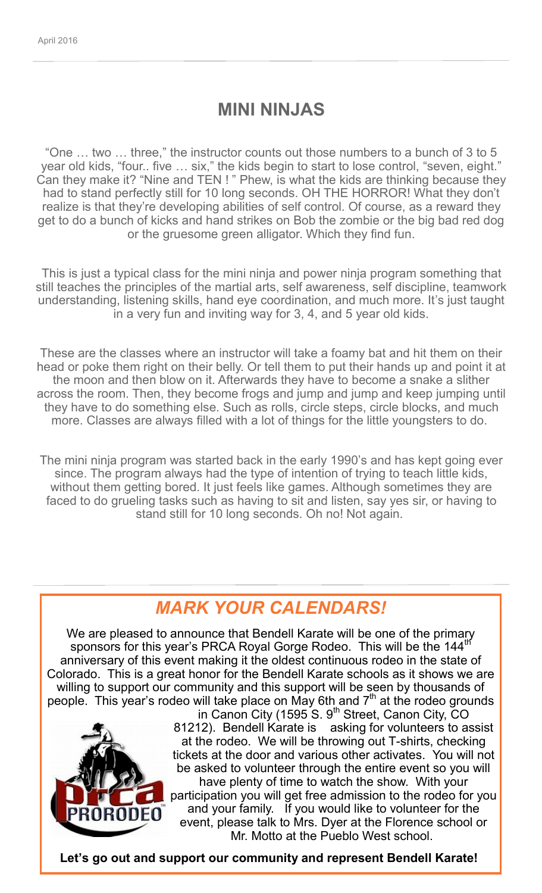### **MINI NINJAS**

["One … two … three," the instructor counts out those numbers to a bunch of 3 to 5](http://theshotokanway.com/thetekkikatanotes.html)  [year old kids, "four.. five … six," the kids begin to start to lose control, "seven, eight."](http://theshotokanway.com/thetekkikatanotes.html)  [Can they make it? "Nine and TEN ! " Phew, is what the kids are thinking because they](http://theshotokanway.com/thetekkikatanotes.html)  [had to stand perfectly still for 10 long seconds. OH THE HORROR! What they don't](http://theshotokanway.com/thetekkikatanotes.html)  [realize is that they're developing abilities of self control. Of course, as a reward they](http://theshotokanway.com/thetekkikatanotes.html)  [get to do a bunch of kicks and hand strikes on Bob the zombie or the big bad red dog](http://theshotokanway.com/thetekkikatanotes.html)  [or the gruesome green alligator. Which they find fun.](http://theshotokanway.com/thetekkikatanotes.html) 

[This is just a typical class for the mini ninja and power ninja program something that](http://theshotokanway.com/thetekkikatanotes.html)  [still teaches the principles of the martial arts, self awareness, self discipline, teamwork](http://theshotokanway.com/thetekkikatanotes.html)  [understanding, listening skills, hand eye coordination, and much more. It's just taught](http://theshotokanway.com/thetekkikatanotes.html)  [in a very fun and inviting way for 3, 4, and 5 year old kids.](http://theshotokanway.com/thetekkikatanotes.html) 

[These are the classes where an instructor will take a foamy bat and hit them on their](http://theshotokanway.com/thetekkikatanotes.html)  [head or poke them right on their belly. Or tell them to put their hands up and point it at](http://theshotokanway.com/thetekkikatanotes.html)  [the moon and then blow on it. Afterwards they have to become a snake a slither](http://theshotokanway.com/thetekkikatanotes.html)  [across the room. Then, they become frogs and jump and jump and keep jumping until](http://theshotokanway.com/thetekkikatanotes.html)  [they have to do something else. Such as rolls, circle steps, circle blocks, and much](http://theshotokanway.com/thetekkikatanotes.html)  [more. Classes are always filled with a lot of things for the little youngsters to do.](http://theshotokanway.com/thetekkikatanotes.html)

[The mini ninja program was started back in the early 1990's and has kept going ever](http://theshotokanway.com/thetekkikatanotes.html)  [since. The program always had the type of intention of trying to teach little kids,](http://theshotokanway.com/thetekkikatanotes.html)  [without them getting bored. It just feels like games. Although sometimes they are](http://theshotokanway.com/thetekkikatanotes.html)  [faced to do grueling tasks such as having to sit and listen, say yes sir, or having to](http://theshotokanway.com/thetekkikatanotes.html)  [stand still for 10 long seconds. Oh no! Not again.](http://theshotokanway.com/thetekkikatanotes.html)

### *MARK YOUR CALENDARS!*

We are pleased to announce that Bendell Karate will be one of the primary sponsors for this year's PRCA Royal Gorge Rodeo. This will be the 144<sup>th</sup> anniversary of this event making it the oldest continuous rodeo in the state of Colorado. This is a great honor for the Bendell Karate schools as it shows we are willing to support our community and this support will be seen by thousands of people. This year's rodeo will take place on May 6th and  $7<sup>th</sup>$  at the rodeo grounds



in Canon City (1595<sup>'S</sup>. 9<sup>th</sup> Street, Canon City, CO 81212). Bendell Karate is asking for volunteers to assist at the rodeo. We will be throwing out T-shirts, checking tickets at the door and various other activates. You will not be asked to volunteer through the entire event so you will have plenty of time to watch the show. With your participation you will get free admission to the rodeo for you and your family. If you would like to volunteer for the event, please talk to Mrs. Dyer at the Florence school or Mr. Motto at the Pueblo West school.

**Let's go out and support our community and represent Bendell Karate!**